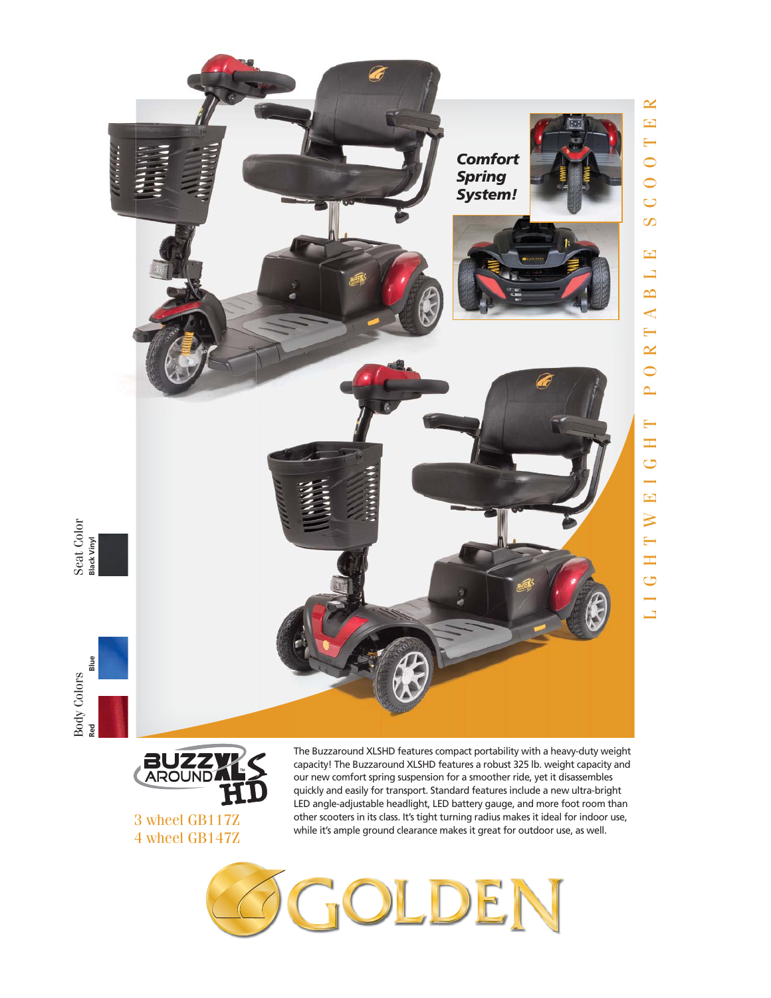

3 wheel GB117Z 4 wheel GB147Z LED angle-adjustable headlight, LED battery gauge, and more foot room than other scooters in its class. It's tight turning radius makes it ideal for indoor use, while it's ample ground clearance makes it great for outdoor use, as well.

L I G H T W E I G H T P O R T A B L E S C O O T E R

 $\longmapsto$ H G  $\overline{\phantom{0}}$  $\overline{\mathbf{E}}$  $\overline{\mathsf{N}}$ 

 $\leftarrow$ H  $\overline{C}$  $\overline{\phantom{0}}$  $\Box$ 

 $\mathbf{\underline{\times}}$  $\boxed{\mathbf{E}}$  $\mapsto$ 

 $\overline{C}$  $\overline{C}$  $\overline{C}$  $\infty$ 

 $\mathbf{E}$  $\Box$  $\mathbf{\underline{\underline{\smash{\sim}}}}$  $\blacktriangleleft$  $\longleftarrow$  $\mathbf{\underline{\times}}$  $\overline{\bigcirc}$  $\mathbf{r}$